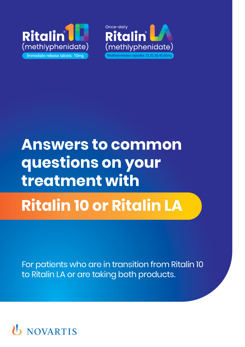



## **Answers to common questions on your treatment with**

# **Ritalin 10 or Ritalin LA**

For patients who are in transition from Ritalin 10 to Ritalin LA or are taking both products.

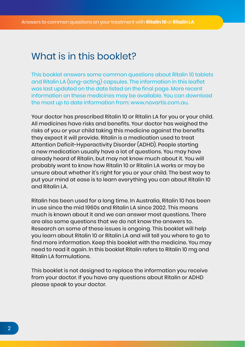#### What is in this booklet?

This booklet answers some common questions about Ritalin 10 tablets and Ritalin LA (long-acting) capsules. The information in this leaflet was last updated on the date listed on the final page. More recent information on these medicines may be available. You can download the most up to date information from: www.novartis.com.au.

Your doctor has prescribed Ritalin 10 or Ritalin LA for you or your child. All medicines have risks and benefits. Your doctor has weighed the risks of you or your child taking this medicine against the benefits they expect it will provide. Ritalin is a medication used to treat Attention Deficit-Hyperactivity Disorder (ADHD). People starting a new medication usually have a lot of questions. You may have already heard of Ritalin, but may not know much about it. You will probably want to know how Ritalin 10 or Ritalin LA works or may be unsure about whether it's right for you or your child. The best way to put your mind at ease is to learn everything you can about Ritalin 10 and Ritalin LA.

Ritalin has been used for a long time. In Australia, Ritalin 10 has been in use since the mid 1960s and Ritalin LA since 2002. This means much is known about it and we can answer most questions. There are also some questions that we do not know the answers to. Research on some of these issues is ongoing. This booklet will help you learn about Ritalin 10 or Ritalin LA and will tell you where to go to find more information. Keep this booklet with the medicine. You may need to read it again. In this booklet Ritalin refers to Ritalin 10 mg and Ritalin LA formulations.

This booklet is not designed to replace the information you receive from your doctor. If you have any questions about Ritalin or ADHD please speak to your doctor.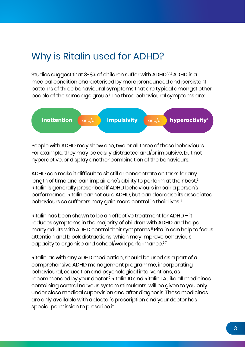### Why is Ritalin used for ADHD?

Studies suggest that 3-8% of children suffer with ADHD.<sup>1,12</sup> ADHD is a medical condition characterised by more pronounced and persistent patterns of three behavioural symptoms that are typical amongst other people of the same age group.' The three behavioural symptoms are:



People with ADHD may show one, two or all three of these behaviours. For example, they may be easily distracted and/or impulsive, but not hyperactive, or display another combination of the behaviours.

ADHD can make it difficult to sit still or concentrate on tasks for any length of time and can impair one's ability to perform at their best.<sup>3</sup> Ritalin is generally prescribed if ADHD behaviours impair a person's performance. Ritalin cannot cure ADHD, but can decrease its associated behaviours so sufferers may gain more control in their lives.4

Ritalin has been shown to be an effective treatment for ADHD – it reduces symptoms in the majority of children with ADHD and helps many adults with ADHD control their symptoms.5 Ritalin can help to focus attention and block distractions, which may improve behaviour, capacity to organise and school/work performance.<sup>6,7</sup>

Ritalin, as with any ADHD medication, should be used as a part of a comprehensive ADHD management programme, incorporating behavioural, education and psychological interventions, as recommended by your doctor.5 Ritalin 10 and Ritalin LA, like all medicines containing central nervous system stimulants, will be given to you only under close medical supervision and after diagnosis. These medicines are only available with a doctor's prescription and your doctor has special permission to prescribe it.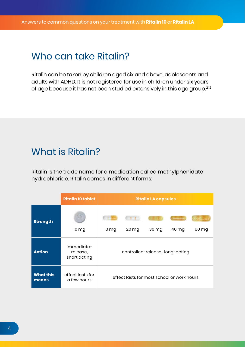#### Who can take Ritalin?

Ritalin can be taken by children aged six and above, adolescents and adults with ADHD. It is not registered for use in children under six years of age because it has not been studied extensively in this age group.<sup>2,12</sup>

### What is Ritalin?

Ritalin is the trade name for a medication called methylphenidate hydrochloride. Ritalin comes in different forms:

|                           | <b>Ritalin 10 tablet</b>               | <b>Ritalin LA capsules</b>                 |                    |       |       |       |
|---------------------------|----------------------------------------|--------------------------------------------|--------------------|-------|-------|-------|
| <b>Strength</b>           | 10 <sub>mg</sub>                       | 10 <sub>mg</sub>                           | $20 \,\mathrm{mg}$ | 30 mg | 40 mg | 60 mg |
| <b>Action</b>             | immediate-<br>release,<br>short acting | controlled-release, long-acting            |                    |       |       |       |
| <b>What this</b><br>means | effect lasts for<br>a few hours        | effect lasts for most school or work hours |                    |       |       |       |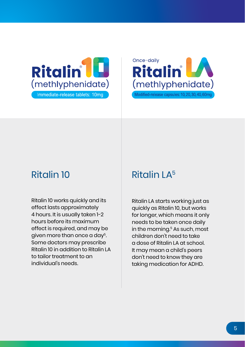



Ritalin 10 works quickly and its effect lasts approximately 4 hours. It is usually taken 1-2 hours before its maximum effect is required, and may be given more than once a day<sup>5</sup>. Some doctors may prescribe Ritalin 10 in addition to Ritalin LA to tailor treatment to an individual's needs.

### Ritalin 10 Ritalin LA<sup>5</sup>

Ritalin LA starts working just as quickly as Ritalin 10, but works for longer, which means it only needs to be taken once daily in the morning.<sup>5</sup> As such, most children don't need to take a dose of Ritalin LA at school. It may mean a child's peers don't need to know they are taking medication for ADHD.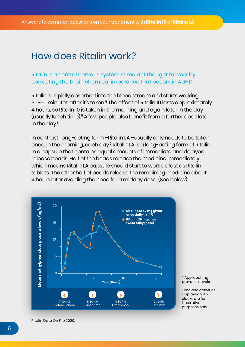#### How does Ritalin work?

#### Ritalin is a central nervous system stimulant thought to work by correcting the brain chemical imbalance that occurs in ADHD.

Ritalin is rapidly absorbed into the blood stream and starts working 30-60 minutes after it's taken.<sup>5</sup> The effect of Ritalin 10 lasts approximately 4 hours, so Ritalin 10 is taken in the morning and again later in the day (usually lunch time).5 A few people also benefit from a further dose late in the day.<sup>5</sup>

In contrast, long-acting form –Ritalin LA –usually only needs to be taken once, in the morning, each day.5 Ritalin LA is a long-acting form of Ritalin in a capsule that contains equal amounts of immediate and delayed release beads. Half of the beads release the medicine immediately which means Ritalin LA capsule should start to work as fast as Ritalin tablets. The other half of beads release the remaining medicine about 4 hours later avoiding the need for a midday dose. (See below)



\* Approaching pre-dose levels

Time and activities displayed with clocks are for illustrative purposes only.

Ritalin Data On File 2020.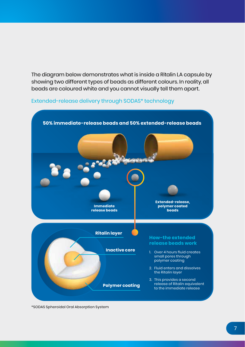The diagram below demonstrates what is inside a Ritalin LA capsule by showing two different types of beads as different colours. In reality, all beads are coloured white and you cannot visually tell them apart.

#### Extended-release delivery through SODAS\* technology



\*SODAS Spheroidal Oral Absorption System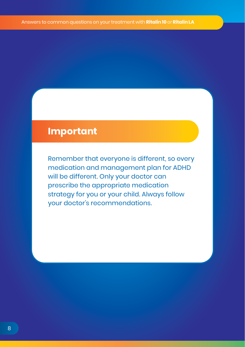#### **Important**

Remember that everyone is different, so every medication and management plan for ADHD will be different. Only your doctor can prescribe the appropriate medication strategy for you or your child. Always follow your doctor's recommendations.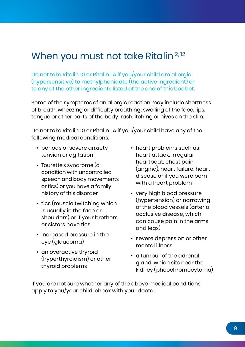### When you must not take Ritalin<sup>2, 12</sup>

Do not take Ritalin 10 or Ritalin LA if you/your child are allergic (hypersensitive) to methylphenidate (the active ingredient) or to any of the other ingredients listed at the end of this booklet.

Some of the symptoms of an allergic reaction may include shortness of breath, wheezing or difficulty breathing; swelling of the face, lips, tongue or other parts of the body; rash, itching or hives on the skin.

Do not take Ritalin 10 or Ritalin LA if you/your child have any of the following medical conditions:

- periods of severe anxiety, tension or agitation
- Tourette's syndrome (a condition with uncontrolled speech and body movements or tics) or you have a family history of this disorder
- tics (muscle twitching which is usually in the face or shoulders) or if your brothers or sisters have tics
- increased pressure in the eye (glaucoma)
- an overactive thyroid (hyperthyroidism) or other thyroid problems
- heart problems such as heart attack, irregular heartbeat, chest pain (angina), heart failure, heart disease or if you were born with a heart problem
- very high blood pressure (hypertension) or narrowing of the blood vessels (arterial occlusive disease, which can cause pain in the arms and legs)
- severe depression or other mental illness
- a tumour of the adrenal gland, which sits near the kidney (pheochromocytoma)

If you are not sure whether any of the above medical conditions apply to you/your child, check with your doctor.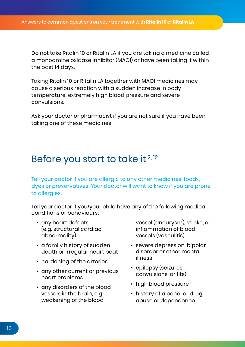Do not take Ritalin 10 or Ritalin LA if you are taking a medicine called a monoamine oxidase inhibitor (MAOI) or have been taking it within the past 14 days.

Taking Ritalin 10 or Ritalin LA together with MAOI medicines may cause a serious reaction with a sudden increase in body temperature, extremely high blood pressure and severe convulsions.

Ask your doctor or pharmacist if you are not sure if you have been taking one of these medicines.

#### Before you start to take it  $2,12$

Tell your doctor if you are allergic to any other medicines, foods, dyes or preservatives. Your doctor will want to know if you are prone to allergies.

Tell your doctor if you/your child have any of the following medical conditions or behaviours:

- any heart defects (e.g. structural cardiac abnormality)
- a family history of sudden death or irregular heart beat
- hardening of the arteries
- any other current or previous heart problems
- any disorders of the blood vessels in the brain, e.g. weakening of the blood

vessel (aneurysm), stroke, or inflammation of blood vessels (vasculitis)

- severe depression, bipolar disorder or other mental illness
- epilepsy (seizures, convulsions, or fits)
- high blood pressure
- history of alcohol or drug abuse or dependence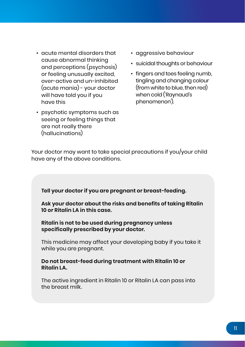- acute mental disorders that cause abnormal thinking and perceptions (psychosis) or feeling unusually excited, over-active and un-inhibited (acute mania) - your doctor will have told you if you have this
- psychotic symptoms such as seeing or feeling things that are not really there (hallucinations)
- aggressive behaviour
- suicidal thoughts or behaviour
- fingers and toes feeling numb, tingling and changing colour (from white to blue, then red) when cold ('Raynaud's phenomenon').

Your doctor may want to take special precautions if you/your child have any of the above conditions.

**Tell your doctor if you are pregnant or breast-feeding.**

**Ask your doctor about the risks and benefits of taking Ritalin 10 or Ritalin LA in this case.**

**Ritalin is not to be used during pregnancy unless specifically prescribed by your doctor.**

This medicine may affect your developing baby if you take it while you are pregnant.

**Do not breast-feed during treatment with Ritalin 10 or Ritalin LA.**

The active ingredient in Ritalin 10 or Ritalin LA can pass into the breast milk.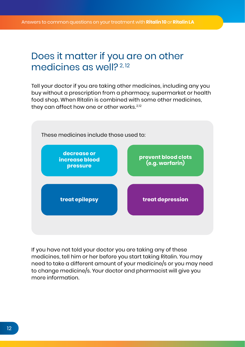#### Does it matter if you are on other medicines as well?<sup>2,12</sup>

Tell your doctor if you are taking other medicines, including any you buy without a prescription from a pharmacy, supermarket or health food shop. When Ritalin is combined with some other medicines, they can affect how one or other works.<sup>2,12</sup>



If you have not told your doctor you are taking any of these medicines, tell him or her before you start taking Ritalin. You may need to take a different amount of your medicine/s or you may need to change medicine/s. Your doctor and pharmacist will give you more information.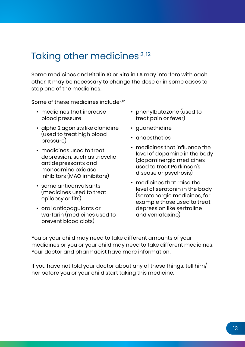### Taking other medicines<sup>2,12</sup>

Some medicines and Ritalin 10 or Ritalin LA may interfere with each other. It may be necessary to change the dose or in some cases to stop one of the medicines.

Some of these medicines include<sup>2,12</sup>

- medicines that increase blood pressure
- alpha 2 agonists like clonidine (used to treat high blood pressure)
- medicines used to treat depression, such as tricyclic antidepressants and monoamine oxidase inhibitors (MAO inhibitors)
- some anticonvulsants (medicines used to treat epilepsy or fits)
- oral anticoagulants or warfarin (medicines used to prevent blood clots)
- phenylbutazone (used to treat pain or fever)
- guanethidine
- anaesthetics
- medicines that influence the level of dopamine in the body (dopaminergic medicines used to treat Parkinson's disease or psychosis)
- medicines that raise the level of serotonin in the body (serotonergic medicines, for example those used to treat depression like sertraline and venlafaxine)

You or your child may need to take different amounts of your medicines or you or your child may need to take different medicines. Your doctor and pharmacist have more information.

If you have not told your doctor about any of these things, tell him/ her before you or your child start taking this medicine.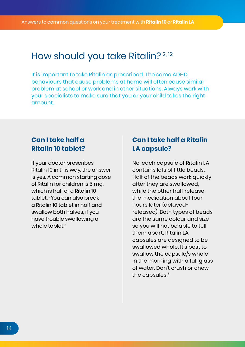#### How should you take Ritalin?<sup>2,12</sup>

It is important to take Ritalin as prescribed. The same ADHD behaviours that cause problems at home will often cause similar problem at school or work and in other situations. Always work with your specialists to make sure that you or your child takes the right amount.

#### **Can I take half a Ritalin 10 tablet?**

If your doctor prescribes Ritalin 10 in this way, the answer is yes. A common starting dose of Ritalin for children is 5 mg, which is half of a Ritalin 10 tablet.5 You can also break a Ritalin 10 tablet in half and swallow both halves, if you have trouble swallowing a whole tablet  $5$ 

#### **Can I take half a Ritalin LA capsule?**

No, each capsule of Ritalin LA contains lots of little beads. Half of the beads work quickly after they are swallowed, while the other half release the medication about four hours later (delayedreleased). Both types of beads are the same colour and size so you will not be able to tell them apart. Ritalin LA capsules are designed to be swallowed whole. It's best to swallow the capsule/s whole in the morning with a full glass of water. Don't crush or chew the capsules.<sup>5</sup>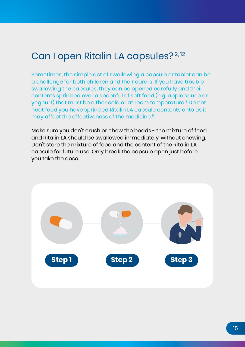### Can I open Ritalin LA capsules? 2, 12

Sometimes, the simple act of swallowing a capsule or tablet can be a challenge for both children and their carers. If you have trouble swallowing the capsules, they can be opened carefully and their contents sprinkled over a spoonful of soft food (e.g. apple sauce or yoghurt) that must be either cold or at room temperature.5 Do not heat food you have sprinkled Ritalin LA capsule contents onto as it may affect the effectiveness of the medicine.5

Make sure you don't crush or chew the beads - the mixture of food and Ritalin LA should be swallowed immediately, without chewing. Don't store the mixture of food and the content of the Ritalin LA capsule for future use. Only break the capsule open just before you take the dose.

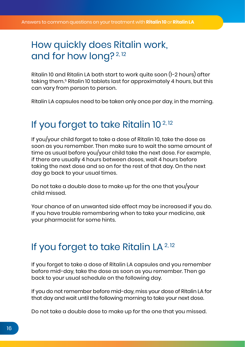### How quickly does Ritalin work, and for how long?<sup>2,12</sup>

Ritalin 10 and Ritalin LA both start to work quite soon (1-2 hours) after taking them.5 Ritalin 10 tablets last for approximately 4 hours, but this can vary from person to person.

Ritalin LA capsules need to be taken only once per day, in the morning.

### If you forget to take Ritalin 10<sup>2,12</sup>

If you/your child forget to take a dose of Ritalin 10, take the dose as soon as you remember. Then make sure to wait the same amount of time as usual before you/your child take the next dose. For example, if there are usually 4 hours between doses, wait 4 hours before taking the next dose and so on for the rest of that day. On the next day go back to your usual times.

Do not take a double dose to make up for the one that you/your child missed.

Your chance of an unwanted side effect may be increased if you do. If you have trouble remembering when to take your medicine, ask your pharmacist for some hints.

### If you forget to take Ritalin LA<sup>2,12</sup>

If you forget to take a dose of Ritalin LA capsules and you remember before mid-day, take the dose as soon as you remember. Then go back to your usual schedule on the following day.

If you do not remember before mid-day, miss your dose of Ritalin LA for that day and wait until the following morning to take your next dose.

Do not take a double dose to make up for the one that you missed.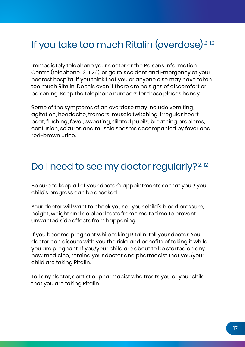## If you take too much Ritalin (overdose) 2, 12

Immediately telephone your doctor or the Poisons Information Centre (telephone 13 11 26), or go to Accident and Emergency at your nearest hospital if you think that you or anyone else may have taken too much Ritalin. Do this even if there are no signs of discomfort or poisoning. Keep the telephone numbers for these places handy.

Some of the symptoms of an overdose may include vomiting, agitation, headache, tremors, muscle twitching, irregular heart beat, flushing, fever, sweating, dilated pupils, breathing problems, confusion, seizures and muscle spasms accompanied by fever and red-brown urine.

### Do I need to see my doctor regularly?<sup>2,12</sup>

Be sure to keep all of your doctor's appointments so that your/ your child's progress can be checked.

Your doctor will want to check your or your child's blood pressure, height, weight and do blood tests from time to time to prevent unwanted side effects from happening.

If you become pregnant while taking Ritalin, tell your doctor. Your doctor can discuss with you the risks and benefits of taking it while you are pregnant. If you/your child are about to be started on any new medicine, remind your doctor and pharmacist that you/your child are taking Ritalin.

Tell any doctor, dentist or pharmacist who treats you or your child that you are taking Ritalin.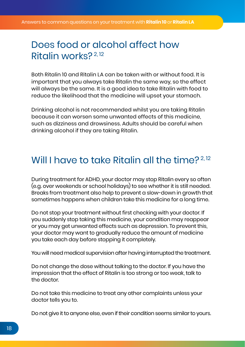#### Does food or alcohol affect how Ritalin works? 2, 12

Both Ritalin 10 and Ritalin LA can be taken with or without food. It is important that you always take Ritalin the same way, so the effect will always be the same. It is a good idea to take Ritalin with food to reduce the likelihood that the medicine will upset your stomach.

Drinking alcohol is not recommended whilst you are taking Ritalin because it can worsen some unwanted effects of this medicine, such as dizziness and drowsiness. Adults should be careful when drinking alcohol if they are taking Ritalin.

#### Will I have to take Ritalin all the time?<sup>2,12</sup>

During treatment for ADHD, your doctor may stop Ritalin every so often (e.g. over weekends or school holidays) to see whether it is still needed. Breaks from treatment also help to prevent a slow-down in growth that sometimes happens when children take this medicine for a long time.

Do not stop your treatment without first checking with your doctor. If you suddenly stop taking this medicine, your condition may reappear or you may get unwanted effects such as depression. To prevent this, your doctor may want to gradually reduce the amount of medicine you take each day before stopping it completely.

You will need medical supervision after having interrupted the treatment.

Do not change the dose without talking to the doctor. If you have the impression that the effect of Ritalin is too strong or too weak, talk to the doctor.

Do not take this medicine to treat any other complaints unless your doctor tells you to.

Do not give it to anyone else, even if their condition seems similar to yours.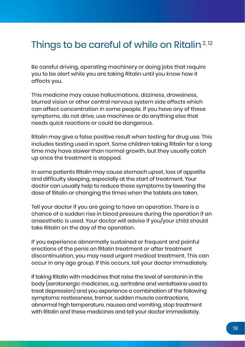### Things to be careful of while on Ritalin<sup>2, 12</sup>

Be careful driving, operating machinery or doing jobs that require you to be alert while you are taking Ritalin until you know how it affects you.

This medicine may cause hallucinations, dizziness, drowsiness, blurred vision or other central nervous system side effects which can affect concentration in some people. If you have any of these symptoms, do not drive, use machines or do anything else that needs quick reactions or could be dangerous.

Ritalin may give a false positive result when testing for drug use. This includes testing used in sport. Some children taking Ritalin for a long time may have slower than normal growth, but they usually catch up once the treatment is stopped.

In some patients Ritalin may cause stomach upset, loss of appetite and difficulty sleeping, especially at the start of treatment. Your doctor can usually help to reduce these symptoms by lowering the dose of Ritalin or changing the times when the tablets are taken.

Tell your doctor if you are going to have an operation. There is a chance of a sudden rise in blood pressure during the operation if an anaesthetic is used. Your doctor will advise if you/your child should take Ritalin on the day of the operation.

If you experience abnormally sustained or frequent and painful erections of the penis on Ritalin treatment or after treatment discontinuation, you may need urgent medical treatment. This can occur in any age group. If this occurs, tell your doctor immediately.

If taking Ritalin with medicines that raise the level of serotonin in the body (serotonergic medicines, e.g. sertraline and venlafaxine used to treat depression) and you experience a combination of the following symptoms: restlessness, tremor, sudden muscle contractions, abnormal high temperature, nausea and vomiting, stop treatment with Ritalin and these medicines and tell your doctor immediately.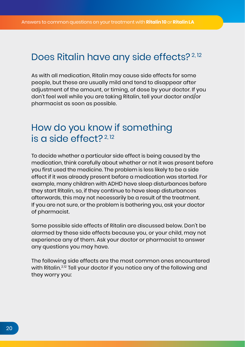#### Does Ritalin have any side effects?<sup>2,12</sup>

As with all medication, Ritalin may cause side effects for some people, but these are usually mild and tend to disappear after adjustment of the amount, or timing, of dose by your doctor. If you don't feel well while you are taking Ritalin, tell your doctor and/or pharmacist as soon as possible.

#### How do you know if something is a side effect?  $2,12$

To decide whether a particular side effect is being caused by the medication, think carefully about whether or not it was present before you first used the medicine. The problem is less likely to be a side effect if it was already present before a medication was started. For example, many children with ADHD have sleep disturbances before they start Ritalin, so, if they continue to have sleep disturbances afterwards, this may not necessarily be a result of the treatment. If you are not sure, or the problem is bothering you, ask your doctor of pharmacist.

Some possible side effects of Ritalin are discussed below. Don't be alarmed by these side effects because you, or your child, may not experience any of them. Ask your doctor or pharmacist to answer any questions you may have.

The following side effects are the most common ones encountered with Ritalin.<sup>2,12</sup> Tell your doctor if you notice any of the following and they worry you: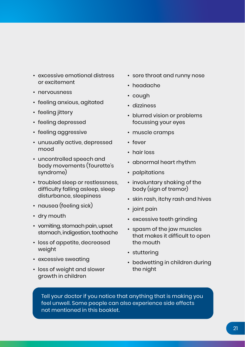- excessive emotional distress or excitement
- nervousness
- feeling anxious, agitated
- feeling jittery
- feeling depressed
- feeling aggressive
- unusually active, depressed mood
- uncontrolled speech and body movements (Tourette's syndrome)
- troubled sleep or restlessness, difficulty falling asleep, sleep disturbance, sleepiness
- nausea (feeling sick)
- dry mouth
- vomiting, stomach pain, upset stomach, indigestion, toothache
- loss of appetite, decreased weight
- excessive sweating
- loss of weight and slower growth in children
- sore throat and runny nose
- headache
- cough
- dizziness
- blurred vision or problems focussing your eyes
- muscle cramps
- fever
- hair loss
- abnormal heart rhythm
- palpitations
- involuntary shaking of the body (sign of tremor)
- skin rash, itchy rash and hives
- joint pain
- excessive teeth grinding
- spasm of the jaw muscles that makes it difficult to open the mouth
- stuttering
- bedwetting in children during the night

Tell your doctor if you notice that anything that is making you feel unwell. Some people can also experience side effects not mentioned in this booklet.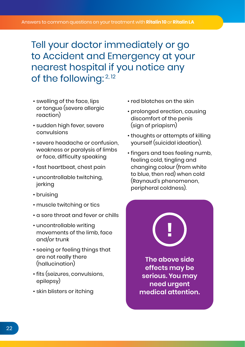Tell your doctor immediately or go to Accident and Emergency at your nearest hospital if you notice any of the following: 2, 12

- swelling of the face, lips or tongue (severe allergic reaction)
- sudden high fever, severe convulsions
- severe headache or confusion, weakness or paralysis of limbs or face, difficulty speaking
- fast heartbeat, chest pain
- uncontrollable twitching, jerking
- bruising
- muscle twitching or tics
- a sore throat and fever or chills
- uncontrollable writing movements of the limb, face and/or trunk
- seeing or feeling things that are not really there (hallucination)
- fits (seizures, convulsions, epilepsy)
- skin blisters or itching
- red blotches on the skin
- prolonged erection, causing discomfort of the penis (sign of priapism)
- thoughts or attempts of killing yourself (suicidal ideation).
- fingers and toes feeling numb, feeling cold, tingling and changing colour (from white to blue, then red) when cold (Raynaud's phenomenon, peripheral coldness).

**The above side effects may be serious. You may need urgent medical attention.**

**!**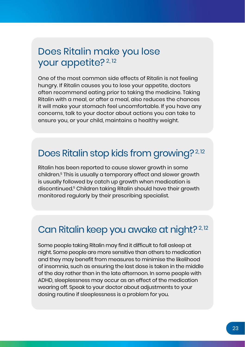### Does Ritalin make you lose your appetite?<sup>2,12</sup>

One of the most common side effects of Ritalin is not feeling hungry. If Ritalin causes you to lose your appetite, doctors often recommend eating prior to taking the medicine. Taking Ritalin with a meal, or after a meal, also reduces the chances it will make your stomach feel uncomfortable. If you have any concerns, talk to your doctor about actions you can take to ensure you, or your child, maintains a healthy weight.

#### Does Ritalin stop kids from growing?<sup>2,12</sup>

Ritalin has been reported to cause slower growth in some children.5 This is usually a temporary effect and slower growth is usually followed by catch up growth when medication is discontinued.5 Children taking Ritalin should have their growth monitored regularly by their prescribing specialist.

### Can Ritalin keep you awake at night?<sup>2,12</sup>

Some people taking Ritalin may find it difficult to fall asleep at night. Some people are more sensitive than others to medication and they may benefit from measures to minimise the likelihood of insomnia, such as ensuring the last dose is taken in the middle of the day rather than in the late afternoon. In some people with ADHD, sleeplessness may occur as an effect of the medication wearing off. Speak to your doctor about adjustments to your dosing routine if sleeplessness is a problem for you.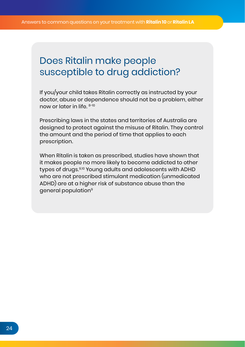### Does Ritalin make people susceptible to drug addiction?

If you/your child takes Ritalin correctly as instructed by your doctor, abuse or dependence should not be a problem, either now or later in life. 8-10

Prescribing laws in the states and territories of Australia are designed to protect against the misuse of Ritalin. They control the amount and the period of time that applies to each prescription.

When Ritalin is taken as prescribed, studies have shown that it makes people no more likely to become addicted to other types of drugs.9,10 Young adults and adolescents with ADHD who are not prescribed stimulant medication (unmedicated ADHD) are at a higher risk of substance abuse than the general population9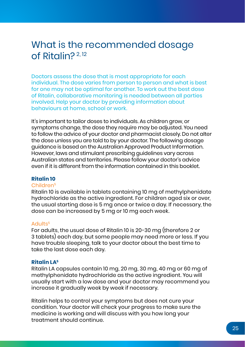#### What is the recommended dosage of Ritalin? 2, 12

Doctors assess the dose that is most appropriate for each individual. The dose varies from person to person and what is best for one may not be optimal for another. To work out the best dose of Ritalin, collaborative monitoring is needed between all parties involved. Help your doctor by providing information about behaviours at home, school or work.

It's important to tailor doses to individuals. As children grow, or symptoms change, the dose they require may be adjusted. You need to follow the advice of your doctor and pharmacist closely. Do not alter the dose unless you are told to by your doctor. The following dosage guidance is based on the Australian Approved Product Information. However, laws and stimulant prescribing guidelines vary across Australian states and territories. Please follow your doctor's advice even if it is different from the information contained in this booklet.

#### **Ritalin 10**

#### Children5

Ritalin 10 is available in tablets containing 10 mg of methylphenidate hydrochloride as the active ingredient. For children aged six or over, the usual starting dose is 5 mg once or twice a day. If necessary, the dose can be increased by 5 mg or 10 mg each week.

#### Adults5

For adults, the usual dose of Ritalin 10 is 20-30 mg (therefore 2 or 3 tablets) each day, but some people may need more or less. If you have trouble sleeping, talk to your doctor about the best time to take the last dose each day.

#### **Ritalin LA<sup>5</sup>**

Ritalin LA capsules contain 10 mg, 20 mg, 30 mg, 40 mg or 60 mg of methylphenidate hydrochloride as the active ingredient. You will usually start with a low dose and your doctor may recommend you increase it gradually week by week if necessary.

Ritalin helps to control your symptoms but does not cure your condition. Your doctor will check your progress to make sure the medicine is working and will discuss with you how long your treatment should continue.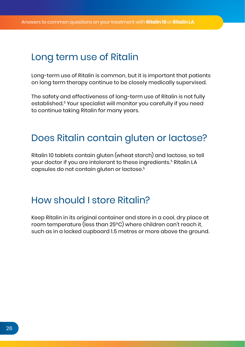#### Long term use of Ritalin

Long-term use of Ritalin is common, but it is important that patients on long term therapy continue to be closely medically supervised.

The safety and effectiveness of long-term use of Ritalin is not fully established.5 Your specialist will monitor you carefully if you need to continue taking Ritalin for many years.

#### Does Ritalin contain gluten or lactose?

Ritalin 10 tablets contain gluten (wheat starch) and lactose, so tell your doctor if you are intolerant to these ingredients.<sup>5</sup> Ritalin LA capsules do not contain gluten or lactose.5

#### How should I store Ritalin?

Keep Ritalin in its original container and store in a cool, dry place at room temperature (less than 25ºC) where children can't reach it, such as in a locked cupboard 1.5 metres or more above the ground.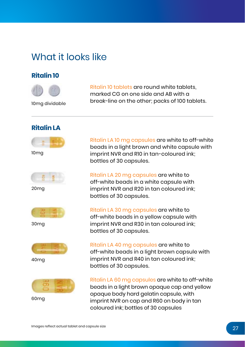### What it looks like

#### **Ritalin 10**



Ritalin 10 tablets are round white tablets, marked CG on one side and AB with a break-line on the other; packs of 100 tablets.

#### 10mg dividable

#### **Ritalin LA**



10mg



20mg



30mg



40mg



60mg

Ritalin LA 10 mg capsules are white to off-white beads in a light brown and white capsule with imprint NVR and R10 in tan-coloured ink; bottles of 30 capsules.

Ritalin LA 20 mg capsules are white to off-white beads in a white capsule with imprint NVR and R20 in tan coloured ink; bottles of 30 capsules.

Ritalin LA 30 mg capsules are white to off-white beads in a yellow capsule with imprint NVR and R30 in tan coloured ink; bottles of 30 capsules.

Ritalin LA 40 mg capsules are white to off-white beads in a light brown capsule with imprint NVR and R40 in tan coloured ink; bottles of 30 capsules.

Ritalin LA 60 mg capsules are white to off-white beads in a light brown opaque cap and yellow opaque body hard gelatin capsule, with imprint NVR on cap and R60 on body in tan coloured ink; bottles of 30 capsules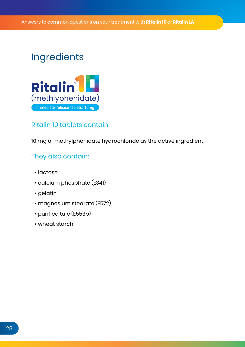### **Ingredients**



#### Ritalin 10 tablets contain

10 mg of methylphenidate hydrochloride as the active ingredient.

#### They also contain:

- lactose
- calcium phosphate (E341)
- gelatin
- magnesium stearate (E572)
- purified talc (E553b)
- wheat starch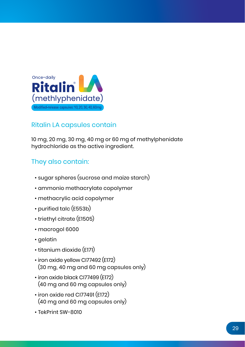

#### Ritalin LA capsules contain

10 mg, 20 mg, 30 mg, 40 mg or 60 mg of methylphenidate hydrochloride as the active ingredient.

#### They also contain:

- sugar spheres (sucrose and maize starch)
- ammonio methacrylate copolymer
- methacrylic acid copolymer
- purified talc (E553b)
- triethyl citrate (E1505)
- macrogol 6000
- gelatin
- titanium dioxide (E171)
- iron oxide yellow CI77492 (E172) (30 mg, 40 mg and 60 mg capsules only)
- iron oxide black CI77499 (E172) (40 mg and 60 mg capsules only)
- iron oxide red CI77491 (E172) (40 mg and 60 mg capsules only)
- TekPrint SW-8010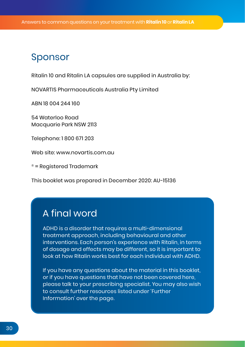#### Sponsor

Ritalin 10 and Ritalin LA capsules are supplied in Australia by:

NOVARTIS Pharmaceuticals Australia Pty Limited

ABN 18 004 244 160

54 Waterloo Road Macquarie Park NSW 2113

Telephone: 1 800 671 203

Web site: www.novartis.com.au

® = Registered Trademark

This booklet was prepared in December 2020: AU-15136

#### A final word

ADHD is a disorder that requires a multi-dimensional treatment approach, including behavioural and other interventions. Each person's experience with Ritalin, in terms of dosage and effects may be different, so it is important to look at how Ritalin works best for each individual with ADHD.

If you have any questions about the material in this booklet, or if you have questions that have not been covered here, please talk to your prescribing specialist. You may also wish to consult further resources listed under 'Further Information' over the page.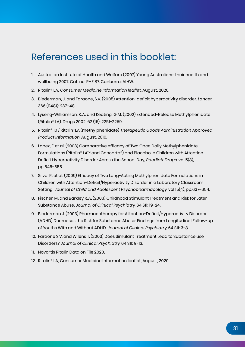#### References used in this booklet:

- 1. Australian Institute of Health and Welfare (2007) Young Australians: their health and wellbeing 2007. Cat. no. PHE 87. Canberra: AIHW.
- 2. Ritalin® LA, Consumer Medicine Information leaflet, August, 2020.
- 3. Biederman, J. and Faraone, S.V. (2005) Attention-deficit hyperactivity disorder. Lancet, 366 (9481): 237–48.
- 4. Lyseng-Williamson, K.A. and Keating, G.M. (2002) Extended-Release Methylphenidate (Ritalin® LA). Drugs 2002, 62 (15): 2251-2259.
- 5. Ritalin® 10 / Ritalin®LA (methylphenidate) Therapeutic Goods Administration Approved Product Information, August, 2010.
- 6. Lopez, F. et al. (2003) Comparative efficacy of Two Once Daily Methylphenidate Formulations (Ritalin® LA™ and Concerta®) and Placebo in Children with Attention Deficit Hyperactivity Disorder Across the School Day, Paediatr Drugs, vol 5(8), pp.545-555.
- 7. Silva, R. et al. (2005) Efficacy of Two Long-Acting Methylphenidate Formulations in Children with Attention-Deficit/Hyperactivity Disorder in a Laboratory Classroom Setting, Journal of Child and Adolescent Psychopharmacology, vol 15(4), pp.637-654.
- 8. Fischer, M. and Barkley R.A. (2003) Childhood Stimulant Treatment and Risk for Later Substance Abuse. Journal of Clinical Psychiatry, 64 S11: 19-24.
- 9. Biederman J. (2003) Pharmacotherapy for Attention-Deficit/Hyperactivity Disorder (ADHD) Decreases the Risk for Substance Abuse: Findings from Longitudinal Follow-up of Youths With and Without ADHD. Journal of Clinical Psychiatry, 64 S11: 3-8.
- 10. Faraone S.V. and Wilens T. (2003) Does Simulant Treatment Lead to Substance use Disorders? Journal of Clinical Psychiatry, 64 S11: 9-13.
- 11. Novartis Ritalin Data on File 2020.
- 12. Ritalin® LA, Consumer Medicine Information leaflet, August, 2020.